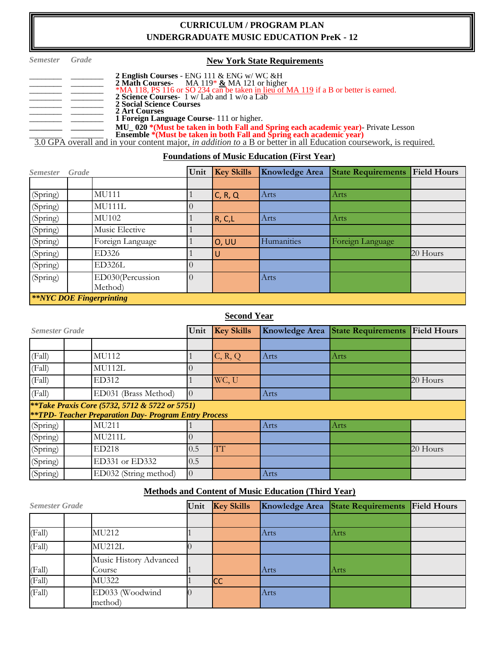## **CURRICULUM / PROGRAM PLAN UNDERGRADUATE MUSIC EDUCATION PreK - 12**

| <i>Semester</i> | Grade | <b>New York State Requirements</b>                                                                                                    |
|-----------------|-------|---------------------------------------------------------------------------------------------------------------------------------------|
|                 |       | 2 English Courses - ENG 111 & ENG $w/WC$ & H                                                                                          |
|                 |       | 2 Math Courses MA 119* $\&$ MA 121 or higher<br>*MA 118, PS 116 or SO 234 can be taken in lieu of MA 119 if a B or better is earned.  |
|                 |       | 2 Science Courses- 1 w/ Lab and 1 w/o a Lab<br>2 Social Science Courses                                                               |
|                 |       | 2 Art Courses                                                                                                                         |
|                 |       | <b>1 Foreign Language Course</b> 111 or higher.<br>MU_020 *(Must be taken in both Fall and Spring each academic year)- Private Lesson |
|                 |       | Ensemble *(Must be taken in both Fall and Spring each academic year)                                                                  |
|                 |       | 3.0 GPA overall and in your content major, <i>in addition to</i> a B or better in all Education coursework, is required.              |

#### **Foundations of Music Education (First Year)**

| <i>Semester</i> | Grade |                                            |          | Unit Key Skills | Knowledge Area | <b>State Requirements</b> | <b>Field Hours</b> |
|-----------------|-------|--------------------------------------------|----------|-----------------|----------------|---------------------------|--------------------|
|                 |       |                                            |          |                 |                |                           |                    |
| (Spring)        |       | MU111                                      |          | C, R, Q         | Arts           | Arts                      |                    |
| (Spring)        |       | MU111L                                     |          |                 |                |                           |                    |
| (Spring)        |       | MU102                                      |          | R, C, L         | Arts           | Arts                      |                    |
| (Spring)        |       | Music Elective                             |          |                 |                |                           |                    |
| (Spring)        |       | Foreign Language                           |          | <b>O, UU</b>    | Humanities     | Foreign Language          |                    |
| (Spring)        |       | <b>ED326</b>                               |          | ΙU              |                |                           | 20 Hours           |
| (Spring)        |       | ED326L                                     |          |                 |                |                           |                    |
| (Spring)        |       | ED030(Percussion                           | $\Omega$ |                 | Arts           |                           |                    |
|                 |       | Method)<br><b>**NYC DOE Fingerprinting</b> |          |                 |                |                           |                    |

## **Second Year**

| <b>Semester Grade</b> |                                                                                                                           | Unit     | <b>Key Skills</b> | <b>Knowledge Area</b> | <b>State Requirements Field Hours</b> |          |
|-----------------------|---------------------------------------------------------------------------------------------------------------------------|----------|-------------------|-----------------------|---------------------------------------|----------|
|                       |                                                                                                                           |          |                   |                       |                                       |          |
| (Fall)                | MU112                                                                                                                     |          | C, R, Q           | Arts                  | Arts                                  |          |
| (Fall)                | MU112L                                                                                                                    |          |                   |                       |                                       |          |
| (Fall)                | ED312                                                                                                                     |          | WC, U             |                       |                                       | 20 Hours |
| (Fall)                | ED031 (Brass Method)                                                                                                      | $\Omega$ |                   | Arts                  |                                       |          |
|                       | <i>**Take Praxis Core (5732, 5712 &amp; 5722 or 5751)</i><br><b>**TPD- Teacher Preparation Day- Program Entry Process</b> |          |                   |                       |                                       |          |
| (Spring)              | MU211                                                                                                                     |          |                   | Arts                  | Arts                                  |          |
| (Spring)              | <b>MU211L</b>                                                                                                             |          |                   |                       |                                       |          |
| (Spring)              | <b>ED218</b>                                                                                                              | 0.5      | ТT                |                       |                                       | 20 Hours |
| (Spring)              | ED331 or ED332                                                                                                            | 0.5      |                   |                       |                                       |          |
| (Spring)              | ED032 (String method)                                                                                                     | $\Omega$ |                   | <b>Arts</b>           |                                       |          |

# **Methods and Content of Music Education (Third Year)**

| <b>Semester Grade</b> |                        | Unit Key Skills |           |      | Knowledge Area State Requirements Field Hours |  |
|-----------------------|------------------------|-----------------|-----------|------|-----------------------------------------------|--|
|                       |                        |                 |           |      |                                               |  |
| (Fall)                | <b>MU212</b>           |                 |           | Arts | Arts                                          |  |
| (Fall)                | MU212L                 |                 |           |      |                                               |  |
|                       | Music History Advanced |                 |           |      |                                               |  |
| (Fall)                | Course                 |                 |           | Arts | Arts                                          |  |
| (Fall)                | <b>MU322</b>           |                 | <b>CC</b> |      |                                               |  |
| (Fall)                | ED033 (Woodwind        |                 |           | Arts |                                               |  |
|                       | method)                |                 |           |      |                                               |  |